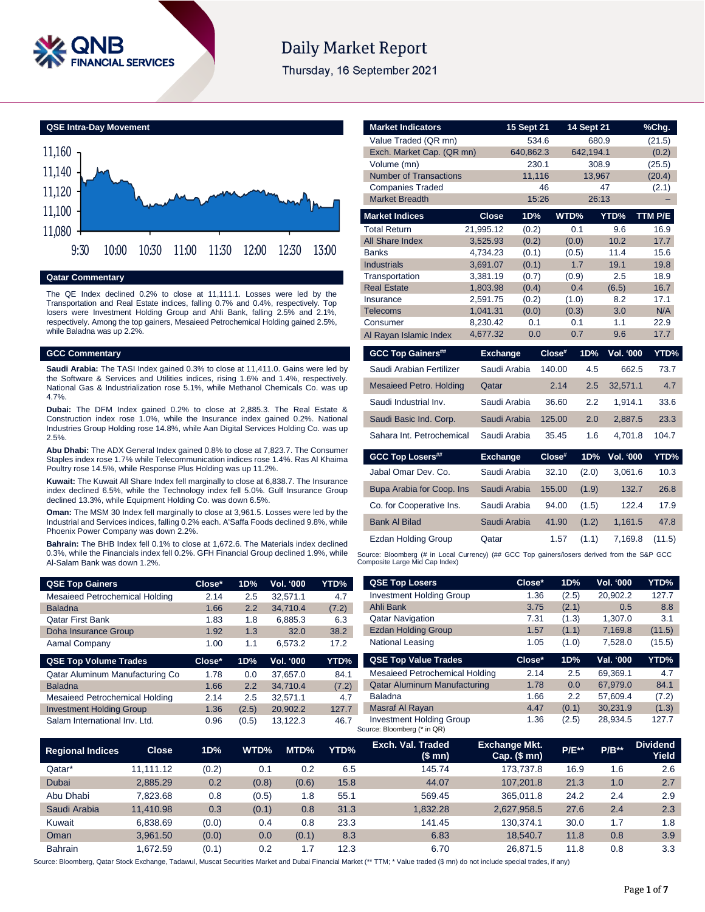

# **Daily Market Report**

Thursday, 16 September 2021



### **Qatar Commentary**

The QE Index declined 0.2% to close at 11,111.1. Losses were led by the Transportation and Real Estate indices, falling 0.7% and 0.4%, respectively. Top losers were Investment Holding Group and Ahli Bank, falling 2.5% and 2.1%, respectively. Among the top gainers, Mesaieed Petrochemical Holding gained 2.5%, while Baladna was up 2.2%.

### **GCC Commentary**

**Saudi Arabia:** The TASI Index gained 0.3% to close at 11,411.0. Gains were led by the Software & Services and Utilities indices, rising 1.6% and 1.4%, respectively. National Gas & Industrialization rose 5.1%, while Methanol Chemicals Co. was up 4.7%.

**Dubai:** The DFM Index gained 0.2% to close at 2,885.3. The Real Estate & Construction index rose 1.0%, while the Insurance index gained 0.2%. National Industries Group Holding rose 14.8%, while Aan Digital Services Holding Co. was up 2.5%.

**Abu Dhabi:** The ADX General Index gained 0.8% to close at 7,823.7. The Consumer Staples index rose 1.7% while Telecommunication indices rose 1.4%. Ras Al Khaima Poultry rose 14.5%, while Response Plus Holding was up 11.2%.

**Kuwait:** The Kuwait All Share Index fell marginally to close at 6,838.7. The Insurance index declined 6.5%, while the Technology index fell 5.0%. Gulf Insurance Group declined 13.3%, while Equipment Holding Co. was down 6.5%.

**Oman:** The MSM 30 Index fell marginally to close at 3,961.5. Losses were led by the Industrial and Services indices, falling 0.2% each. A'Saffa Foods declined 9.8%, while Phoenix Power Company was down 2.2%.

**Bahrain:** The BHB Index fell 0.1% to close at 1,672.6. The Materials index declined 0.3%, while the Financials index fell 0.2%. GFH Financial Group declined 1.9%, while Al-Salam Bank was down 1.2%.

| <b>QSE Top Gainers</b>         | Close* | 1D% | <b>Vol. '000</b> | YTD%  |
|--------------------------------|--------|-----|------------------|-------|
| Mesaieed Petrochemical Holding | 2.14   | 2.5 | 32.571.1         | 4.7   |
| <b>Baladna</b>                 | 1.66   | 2.2 | 34.710.4         | (7.2) |
| <b>Qatar First Bank</b>        | 1.83   | 1.8 | 6,885.3          | 6.3   |
| Doha Insurance Group           | 1.92   | 1.3 | 32.0             | 38.2  |
| Aamal Company                  | 1.00   | 1.1 | 6.573.2          | 17.2  |
| <b>QSE Top Volume Trades</b>   | Close* | 1D% | Vol. '000        | YTD%  |

| Qatar Aluminum Manufacturing Co | 1.78 | 0.0   | 37.657.0 | 84.1  |
|---------------------------------|------|-------|----------|-------|
| <b>Baladna</b>                  | 1.66 | 2.2   | 34.710.4 | (7.2) |
| Mesaieed Petrochemical Holding  | 2.14 | 2.5   | 32.571.1 | 4.7   |
| <b>Investment Holding Group</b> | 1.36 | (2.5) | 20.902.2 | 127.7 |
| Salam International Inv. Ltd.   | 0.96 | (0.5) | 13.122.3 | 46.7  |
|                                 |      |       |          |       |

| <b>Market Indicators</b>       |                 | 15 Sept 21   |        | 14 Sept 21 |           | %Chg.   |
|--------------------------------|-----------------|--------------|--------|------------|-----------|---------|
| Value Traded (QR mn)           |                 |              | 534.6  | 680.9      |           | (21.5)  |
| Exch. Market Cap. (QR mn)      |                 | 640,862.3    |        | 642.194.1  |           | (0.2)   |
| Volume (mn)                    |                 | 230.1        |        | 308.9      |           | (25.5)  |
| <b>Number of Transactions</b>  |                 | 11,116       |        | 13,967     |           | (20.4)  |
| <b>Companies Traded</b>        |                 |              | 46     |            | 47        | (2.1)   |
| <b>Market Breadth</b>          |                 | 15:26        |        | 26:13      |           |         |
| <b>Market Indices</b>          | <b>Close</b>    | 1D%          | WTD%   |            | YTD%      | TTM P/E |
| <b>Total Return</b>            | 21,995.12       | (0.2)        |        | 0.1        | 9.6       | 16.9    |
| All Share Index                | 3,525.93        | (0.2)        |        | (0.0)      | 10.2      | 17.7    |
| <b>Banks</b>                   | 4,734.23        | (0.1)        |        | (0.5)      | 11.4      | 15.6    |
| <b>Industrials</b>             | 3,691.07        | (0.1)        |        | 1.7        | 19.1      | 19.8    |
| Transportation                 | 3,381.19        | (0.7)        |        | (0.9)      | 2.5       | 18.9    |
| <b>Real Estate</b>             | 1,803.98        | (0.4)        |        | 0.4        | (6.5)     | 16.7    |
| Insurance                      | 2,591.75        | (0.2)        |        | (1.0)      | 8.2       | 17.1    |
| <b>Telecoms</b>                | 1,041.31        | (0.0)        |        | (0.3)      | 3.0       | N/A     |
| Consumer                       | 8,230.42        | 0.1          |        | 0.1        | 1.1       | 22.9    |
| Al Rayan Islamic Index         | 4,677.32        | 0.0          |        | 0.7        | 9.6       | 17.7    |
| <b>GCC Top Gainers##</b>       | <b>Exchange</b> |              | Close# | 1D%        | Vol. '000 | YTD%    |
| Saudi Arabian Fertilizer       |                 | Saudi Arabia | 140.00 | 4.5        | 662.5     | 73.7    |
| <b>Mesaieed Petro. Holding</b> | Qatar           |              | 2.14   | 2.5        | 32,571.1  | 4.7     |
| Saudi Industrial Inv.          |                 | Saudi Arabia | 36.60  | 2.2        | 1,914.1   | 33.6    |
| Saudi Basic Ind. Corp.         |                 | Saudi Arabia | 125.00 | 2.0        | 2,887.5   | 23.3    |
| Sahara Int. Petrochemical      |                 | Saudi Arabia | 35.45  | 1.6        | 4,701.8   | 104.7   |
| <b>GCC Top Losers##</b>        | <b>Exchange</b> |              | Close# | 1D%        | Vol. '000 | YTD%    |
| Jabal Omar Dev. Co.            |                 | Saudi Arabia | 32.10  | (2.0)      | 3,061.6   | 10.3    |
| Bupa Arabia for Coop. Ins      |                 | Saudi Arabia | 155.00 | (1.9)      | 132.7     | 26.8    |
| Co. for Cooperative Ins.       |                 | Saudi Arabia | 94.00  | (1.5)      | 122.4     | 17.9    |
| <b>Bank Al Bilad</b>           |                 | Saudi Arabia | 41.90  | (1.2)      | 1,161.5   | 47.8    |
| Ezdan Holding Group            | Oatar           |              | 1.57   | (1.1)      | 7.169.8   | (11.5)  |

Source: Bloomberg (# in Local Currency) (## GCC Top gainers/losers derived from the S&P GCC<br>Composite Large Mid Cap Index)

| <b>QSE Top Losers</b>               | Close* | 1D%   | <b>Vol. '000</b> | YTD%   |
|-------------------------------------|--------|-------|------------------|--------|
| <b>Investment Holding Group</b>     | 1.36   | (2.5) | 20,902.2         | 127.7  |
| Ahli Bank                           | 3.75   | (2.1) | 0.5              | 8.8    |
| <b>Qatar Navigation</b>             | 7.31   | (1.3) | 1.307.0          | 3.1    |
| <b>Ezdan Holding Group</b>          | 1.57   | (1.1) | 7,169.8          | (11.5) |
| <b>National Leasing</b>             | 1.05   | (1.0) | 7.528.0          | (15.5) |
|                                     |        |       |                  |        |
| <b>QSE Top Value Trades</b>         | Close* | 1D%   | Val. '000        | YTD%   |
| Mesaieed Petrochemical Holding      | 2.14   | 2.5   | 69.369.1         | 4.7    |
| <b>Qatar Aluminum Manufacturing</b> | 1.78   | 0.0   | 67.979.0         | 84.1   |
| <b>Baladna</b>                      | 1.66   | 2.2   | 57.609.4         | (7.2)  |
| <b>Masraf Al Rayan</b>              | 4.47   | (0.1) | 30.231.9         | (1.3)  |

| <b>Regional Indices</b> | <b>Close</b> | 1D%   | WTD%  | MTD%  | YTD% | Exch. Val. Traded<br>(\$ mn) | <b>Exchange Mkt.</b><br>$Cap.$ (\$ mn) | <b>P/E**</b> | $P/B**$ | <b>Dividend</b><br>Yield |
|-------------------------|--------------|-------|-------|-------|------|------------------------------|----------------------------------------|--------------|---------|--------------------------|
| Qatar*                  | 11.111.12    | (0.2) | 0.1   | 0.2   | 6.5  | 145.74                       | 173.737.8                              | 16.9         | 1.6     | 2.6                      |
| Dubai                   | 2,885.29     | 0.2   | (0.8) | (0.6) | 15.8 | 44.07                        | 107.201.8                              | 21.3         | 1.0     | 2.7                      |
| Abu Dhabi               | 7.823.68     | 0.8   | (0.5) | 1.8   | 55.1 | 569.45                       | 365.011.8                              | 24.2         | 2.4     | 2.9                      |
| Saudi Arabia            | 11.410.98    | 0.3   | (0.1) | 0.8   | 31.3 | 1.832.28                     | 2.627.958.5                            | 27.6         | 2.4     | 2.3                      |
| Kuwait                  | 6.838.69     | (0.0) | 0.4   | 0.8   | 23.3 | 141.45                       | 130.374.1                              | 30.0         | 1.7     | 1.8                      |
| Oman                    | 3.961.50     | (0.0) | 0.0   | (0.1) | 8.3  | 6.83                         | 18.540.7                               | 11.8         | 0.8     | 3.9                      |
| <b>Bahrain</b>          | 1.672.59     | (0.1) | 0.2   | 1.7   | 12.3 | 6.70                         | 26.871.5                               | 11.8         | 0.8     | 3.3                      |

Source: Bloomberg, Qatar Stock Exchange, Tadawul, Muscat Securities Market and Dubai Financial Market (\*\* TTM; \* Value traded (\$ mn) do not include special trades, if any)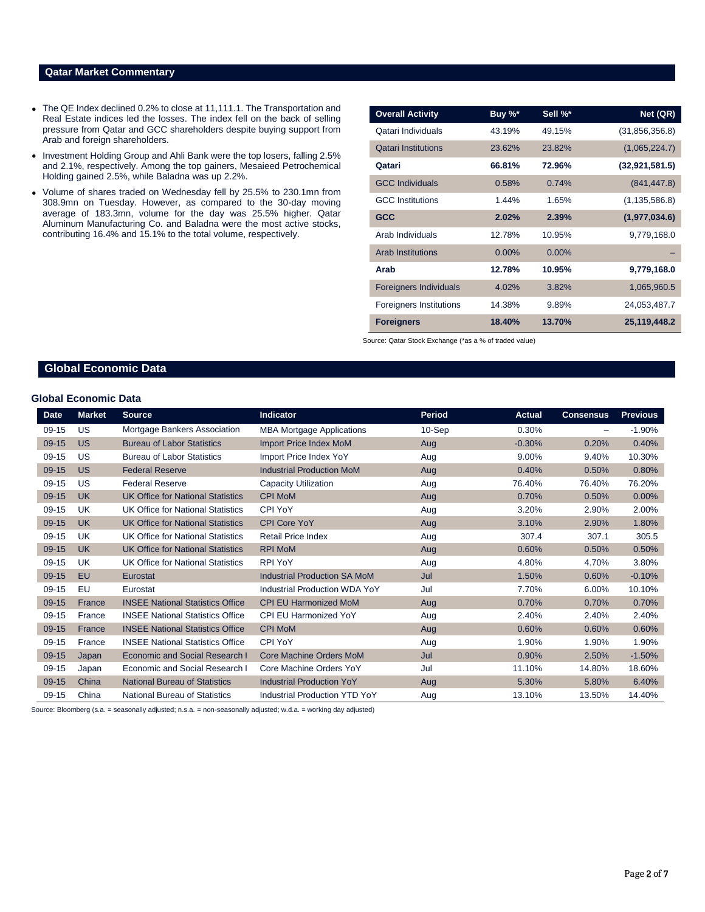### **Qatar Market Commentary**

- The QE Index declined 0.2% to close at 11,111.1. The Transportation and Real Estate indices led the losses. The index fell on the back of selling pressure from Qatar and GCC shareholders despite buying support from Arab and foreign shareholders.
- Investment Holding Group and Ahli Bank were the top losers, falling 2.5% and 2.1%, respectively. Among the top gainers, Mesaieed Petrochemical Holding gained 2.5%, while Baladna was up 2.2%.
- Volume of shares traded on Wednesday fell by 25.5% to 230.1mn from 308.9mn on Tuesday. However, as compared to the 30-day moving average of 183.3mn, volume for the day was 25.5% higher. Qatar Aluminum Manufacturing Co. and Baladna were the most active stocks, contributing 16.4% and 15.1% to the total volume, respectively.

| <b>Overall Activity</b>        | Buy %*   | Sell %*  | Net (QR)         |
|--------------------------------|----------|----------|------------------|
| Qatari Individuals             | 43.19%   | 49.15%   | (31, 856, 356.8) |
| <b>Qatari Institutions</b>     | 23.62%   | 23.82%   | (1,065,224.7)    |
| Qatari                         | 66.81%   | 72.96%   | (32, 921, 581.5) |
| <b>GCC Individuals</b>         | 0.58%    | 0.74%    | (841, 447.8)     |
| <b>GCC</b> Institutions        | 1.44%    | 1.65%    | (1, 135, 586.8)  |
| <b>GCC</b>                     | 2.02%    | 2.39%    | (1,977,034.6)    |
| Arab Individuals               | 12.78%   | 10.95%   | 9,779,168.0      |
| <b>Arab Institutions</b>       | $0.00\%$ | $0.00\%$ |                  |
| Arab                           | 12.78%   | 10.95%   | 9,779,168.0      |
| <b>Foreigners Individuals</b>  | 4.02%    | 3.82%    | 1,065,960.5      |
| <b>Foreigners Institutions</b> | 14.38%   | 9.89%    | 24,053,487.7     |
| <b>Foreigners</b>              | 18.40%   | 13.70%   | 25,119,448.2     |

Source: Qatar Stock Exchange (\*as a % of traded value)

## **Global Economic Data**

### **Global Economic Data**

| Date    | <b>Market</b> | <b>Source</b>                            | <b>Indicator</b>                     | Period | <b>Actual</b> | <b>Consensus</b> | <b>Previous</b> |
|---------|---------------|------------------------------------------|--------------------------------------|--------|---------------|------------------|-----------------|
| $09-15$ | US            | Mortgage Bankers Association             | <b>MBA Mortgage Applications</b>     | 10-Sep | 0.30%         |                  | $-1.90%$        |
| 09-15   | <b>US</b>     | <b>Bureau of Labor Statistics</b>        | <b>Import Price Index MoM</b>        | Aug    | $-0.30%$      | 0.20%            | 0.40%           |
| $09-15$ | US            | <b>Bureau of Labor Statistics</b>        | Import Price Index YoY               | Aug    | 9.00%         | 9.40%            | 10.30%          |
| 09-15   | <b>US</b>     | <b>Federal Reserve</b>                   | <b>Industrial Production MoM</b>     | Aug    | 0.40%         | 0.50%            | 0.80%           |
| $09-15$ | US            | <b>Federal Reserve</b>                   | Capacity Utilization                 | Aug    | 76.40%        | 76.40%           | 76.20%          |
| 09-15   | <b>UK</b>     | <b>UK Office for National Statistics</b> | <b>CPI MoM</b>                       | Aug    | 0.70%         | 0.50%            | 0.00%           |
| $09-15$ | <b>UK</b>     | <b>UK Office for National Statistics</b> | <b>CPI YoY</b>                       | Aug    | 3.20%         | 2.90%            | 2.00%           |
| 09-15   | <b>UK</b>     | <b>UK Office for National Statistics</b> | <b>CPI Core YoY</b>                  | Aug    | 3.10%         | 2.90%            | 1.80%           |
| $09-15$ | <b>UK</b>     | UK Office for National Statistics        | <b>Retail Price Index</b>            | Aug    | 307.4         | 307.1            | 305.5           |
| 09-15   | <b>UK</b>     | <b>UK Office for National Statistics</b> | <b>RPI MoM</b>                       | Aug    | 0.60%         | 0.50%            | 0.50%           |
| $09-15$ | <b>UK</b>     | UK Office for National Statistics        | <b>RPI YoY</b>                       | Aug    | 4.80%         | 4.70%            | 3.80%           |
| $09-15$ | EU            | Eurostat                                 | <b>Industrial Production SA MoM</b>  | Jul    | 1.50%         | 0.60%            | $-0.10%$        |
| $09-15$ | EU            | Eurostat                                 | <b>Industrial Production WDA YoY</b> | Jul    | 7.70%         | 6.00%            | 10.10%          |
| 09-15   | France        | <b>INSEE National Statistics Office</b>  | <b>CPI EU Harmonized MoM</b>         | Aug    | 0.70%         | 0.70%            | 0.70%           |
| $09-15$ | France        | <b>INSEE National Statistics Office</b>  | <b>CPI EU Harmonized YoY</b>         | Aug    | 2.40%         | 2.40%            | 2.40%           |
| 09-15   | France        | <b>INSEE National Statistics Office</b>  | <b>CPI MoM</b>                       | Aug    | 0.60%         | 0.60%            | 0.60%           |
| $09-15$ | France        | <b>INSEE National Statistics Office</b>  | CPI YoY                              | Aug    | 1.90%         | 1.90%            | 1.90%           |
| 09-15   | Japan         | <b>Economic and Social Research I</b>    | <b>Core Machine Orders MoM</b>       | Jul    | 0.90%         | 2.50%            | $-1.50%$        |
| $09-15$ | Japan         | Economic and Social Research I           | Core Machine Orders YoY              | Jul    | 11.10%        | 14.80%           | 18.60%          |
| 09-15   | China         | <b>National Bureau of Statistics</b>     | <b>Industrial Production YoY</b>     | Aug    | 5.30%         | 5.80%            | 6.40%           |
| $09-15$ | China         | <b>National Bureau of Statistics</b>     | <b>Industrial Production YTD YoY</b> | Aug    | 13.10%        | 13.50%           | 14.40%          |

Source: Bloomberg (s.a. = seasonally adjusted; n.s.a. = non-seasonally adjusted; w.d.a. = working day adjusted)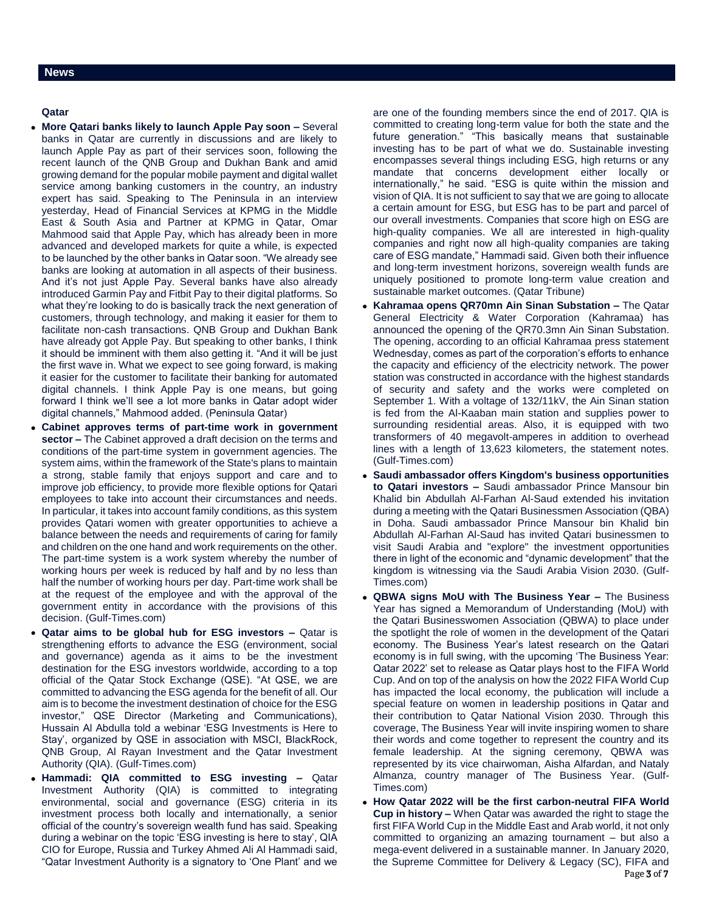### **Qatar**

- **More Qatari banks likely to launch Apple Pay soon –** Several banks in Qatar are currently in discussions and are likely to launch Apple Pay as part of their services soon, following the recent launch of the QNB Group and Dukhan Bank and amid growing demand for the popular mobile payment and digital wallet service among banking customers in the country, an industry expert has said. Speaking to The Peninsula in an interview yesterday, Head of Financial Services at KPMG in the Middle East & South Asia and Partner at KPMG in Qatar, Omar Mahmood said that Apple Pay, which has already been in more advanced and developed markets for quite a while, is expected to be launched by the other banks in Qatar soon. "We already see banks are looking at automation in all aspects of their business. And it's not just Apple Pay. Several banks have also already introduced Garmin Pay and Fitbit Pay to their digital platforms. So what they're looking to do is basically track the next generation of customers, through technology, and making it easier for them to facilitate non-cash transactions. QNB Group and Dukhan Bank have already got Apple Pay. But speaking to other banks, I think it should be imminent with them also getting it. "And it will be just the first wave in. What we expect to see going forward, is making it easier for the customer to facilitate their banking for automated digital channels. I think Apple Pay is one means, but going forward I think we'll see a lot more banks in Qatar adopt wider digital channels," Mahmood added. (Peninsula Qatar)
- **Cabinet approves terms of part-time work in government sector –** The Cabinet approved a draft decision on the terms and conditions of the part-time system in government agencies. The system aims, within the framework of the State's plans to maintain a strong, stable family that enjoys support and care and to improve job efficiency, to provide more flexible options for Qatari employees to take into account their circumstances and needs. In particular, it takes into account family conditions, as this system provides Qatari women with greater opportunities to achieve a balance between the needs and requirements of caring for family and children on the one hand and work requirements on the other. The part-time system is a work system whereby the number of working hours per week is reduced by half and by no less than half the number of working hours per day. Part-time work shall be at the request of the employee and with the approval of the government entity in accordance with the provisions of this decision. (Gulf-Times.com)
- **Qatar aims to be global hub for ESG investors –** Qatar is strengthening efforts to advance the ESG (environment, social and governance) agenda as it aims to be the investment destination for the ESG investors worldwide, according to a top official of the Qatar Stock Exchange (QSE). "At QSE, we are committed to advancing the ESG agenda for the benefit of all. Our aim is to become the investment destination of choice for the ESG investor," QSE Director (Marketing and Communications), Hussain Al Abdulla told a webinar 'ESG Investments is Here to Stay', organized by QSE in association with MSCI, BlackRock, QNB Group, Al Rayan Investment and the Qatar Investment Authority (QIA). (Gulf-Times.com)
- **Hammadi: QIA committed to ESG investing –** Qatar Investment Authority (QIA) is committed to integrating environmental, social and governance (ESG) criteria in its investment process both locally and internationally, a senior official of the country's sovereign wealth fund has said. Speaking during a webinar on the topic 'ESG investing is here to stay', QIA CIO for Europe, Russia and Turkey Ahmed Ali Al Hammadi said, "Qatar Investment Authority is a signatory to 'One Plant' and we

are one of the founding members since the end of 2017. QIA is committed to creating long-term value for both the state and the future generation." "This basically means that sustainable investing has to be part of what we do. Sustainable investing encompasses several things including ESG, high returns or any mandate that concerns development either locally or internationally," he said. "ESG is quite within the mission and vision of QIA. It is not sufficient to say that we are going to allocate a certain amount for ESG, but ESG has to be part and parcel of our overall investments. Companies that score high on ESG are high-quality companies. We all are interested in high-quality companies and right now all high-quality companies are taking care of ESG mandate," Hammadi said. Given both their influence and long-term investment horizons, sovereign wealth funds are uniquely positioned to promote long-term value creation and sustainable market outcomes. (Qatar Tribune)

- **Kahramaa opens QR70mn Ain Sinan Substation –** The Qatar General Electricity & Water Corporation (Kahramaa) has announced the opening of the QR70.3mn Ain Sinan Substation. The opening, according to an official Kahramaa press statement Wednesday, comes as part of the corporation's efforts to enhance the capacity and efficiency of the electricity network. The power station was constructed in accordance with the highest standards of security and safety and the works were completed on September 1. With a voltage of 132/11kV, the Ain Sinan station is fed from the Al-Kaaban main station and supplies power to surrounding residential areas. Also, it is equipped with two transformers of 40 megavolt-amperes in addition to overhead lines with a length of 13,623 kilometers, the statement notes. (Gulf-Times.com)
- **Saudi ambassador offers Kingdom's business opportunities to Qatari investors –** Saudi ambassador Prince Mansour bin Khalid bin Abdullah Al-Farhan Al-Saud extended his invitation during a meeting with the Qatari Businessmen Association (QBA) in Doha. Saudi ambassador Prince Mansour bin Khalid bin Abdullah Al-Farhan Al-Saud has invited Qatari businessmen to visit Saudi Arabia and "explore" the investment opportunities there in light of the economic and "dynamic development" that the kingdom is witnessing via the Saudi Arabia Vision 2030. (Gulf-Times.com)
- **QBWA signs MoU with The Business Year –** The Business Year has signed a Memorandum of Understanding (MoU) with the Qatari Businesswomen Association (QBWA) to place under the spotlight the role of women in the development of the Qatari economy. The Business Year's latest research on the Qatari economy is in full swing, with the upcoming 'The Business Year: Qatar 2022' set to release as Qatar plays host to the FIFA World Cup. And on top of the analysis on how the 2022 FIFA World Cup has impacted the local economy, the publication will include a special feature on women in leadership positions in Qatar and their contribution to Qatar National Vision 2030. Through this coverage, The Business Year will invite inspiring women to share their words and come together to represent the country and its female leadership. At the signing ceremony, QBWA was represented by its vice chairwoman, Aisha Alfardan, and Nataly Almanza, country manager of The Business Year. (Gulf-Times.com)
- Page 3 of 7 **How Qatar 2022 will be the first carbon-neutral FIFA World Cup in history –** When Qatar was awarded the right to stage the first FIFA World Cup in the Middle East and Arab world, it not only committed to organizing an amazing tournament – but also a mega-event delivered in a sustainable manner. In January 2020, the Supreme Committee for Delivery & Legacy (SC), FIFA and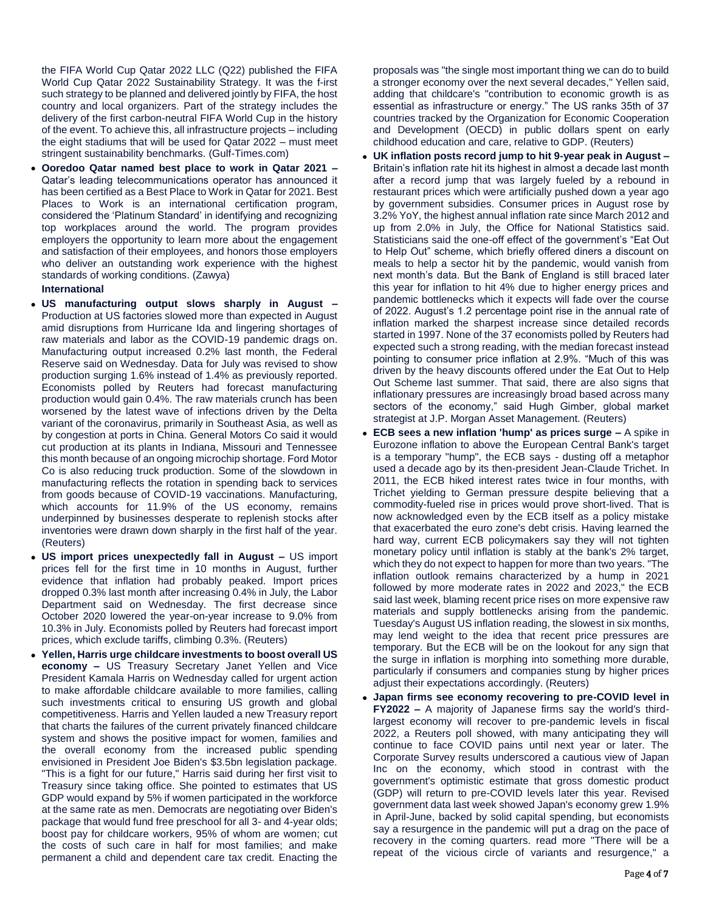the FIFA World Cup Qatar 2022 LLC (Q22) published the FIFA World Cup Qatar 2022 Sustainability Strategy. It was the f-irst such strategy to be planned and delivered jointly by FIFA, the host country and local organizers. Part of the strategy includes the delivery of the first carbon-neutral FIFA World Cup in the history of the event. To achieve this, all infrastructure projects – including the eight stadiums that will be used for Qatar 2022 – must meet stringent sustainability benchmarks. (Gulf-Times.com)

 **Ooredoo Qatar named best place to work in Qatar 2021 –** Qatar's leading telecommunications operator has announced it has been certified as a Best Place to Work in Qatar for 2021. Best Places to Work is an international certification program, considered the 'Platinum Standard' in identifying and recognizing top workplaces around the world. The program provides employers the opportunity to learn more about the engagement and satisfaction of their employees, and honors those employers who deliver an outstanding work experience with the highest standards of working conditions. (Zawya)

### **International**

- **US manufacturing output slows sharply in August –** Production at US factories slowed more than expected in August amid disruptions from Hurricane Ida and lingering shortages of raw materials and labor as the COVID-19 pandemic drags on. Manufacturing output increased 0.2% last month, the Federal Reserve said on Wednesday. Data for July was revised to show production surging 1.6% instead of 1.4% as previously reported. Economists polled by Reuters had forecast manufacturing production would gain 0.4%. The raw materials crunch has been worsened by the latest wave of infections driven by the Delta variant of the coronavirus, primarily in Southeast Asia, as well as by congestion at ports in China. General Motors Co said it would cut production at its plants in Indiana, Missouri and Tennessee this month because of an ongoing microchip shortage. Ford Motor Co is also reducing truck production. Some of the slowdown in manufacturing reflects the rotation in spending back to services from goods because of COVID-19 vaccinations. Manufacturing, which accounts for 11.9% of the US economy, remains underpinned by businesses desperate to replenish stocks after inventories were drawn down sharply in the first half of the year. (Reuters)
- **US import prices unexpectedly fall in August –** US import prices fell for the first time in 10 months in August, further evidence that inflation had probably peaked. Import prices dropped 0.3% last month after increasing 0.4% in July, the Labor Department said on Wednesday. The first decrease since October 2020 lowered the year-on-year increase to 9.0% from 10.3% in July. Economists polled by Reuters had forecast import prices, which exclude tariffs, climbing 0.3%. (Reuters)
- **Yellen, Harris urge childcare investments to boost overall US economy –** US Treasury Secretary Janet Yellen and Vice President Kamala Harris on Wednesday called for urgent action to make affordable childcare available to more families, calling such investments critical to ensuring US growth and global competitiveness. Harris and Yellen lauded a new Treasury report that charts the failures of the current privately financed childcare system and shows the positive impact for women, families and the overall economy from the increased public spending envisioned in President Joe Biden's \$3.5bn legislation package. "This is a fight for our future," Harris said during her first visit to Treasury since taking office. She pointed to estimates that US GDP would expand by 5% if women participated in the workforce at the same rate as men. Democrats are negotiating over Biden's package that would fund free preschool for all 3- and 4-year olds; boost pay for childcare workers, 95% of whom are women; cut the costs of such care in half for most families; and make permanent a child and dependent care tax credit. Enacting the

proposals was "the single most important thing we can do to build a stronger economy over the next several decades," Yellen said, adding that childcare's "contribution to economic growth is as essential as infrastructure or energy." The US ranks 35th of 37 countries tracked by the Organization for Economic Cooperation and Development (OECD) in public dollars spent on early childhood education and care, relative to GDP. (Reuters)

- **UK inflation posts record jump to hit 9-year peak in August –** Britain's inflation rate hit its highest in almost a decade last month after a record jump that was largely fueled by a rebound in restaurant prices which were artificially pushed down a year ago by government subsidies. Consumer prices in August rose by 3.2% YoY, the highest annual inflation rate since March 2012 and up from 2.0% in July, the Office for National Statistics said. Statisticians said the one-off effect of the government's "Eat Out to Help Out" scheme, which briefly offered diners a discount on meals to help a sector hit by the pandemic, would vanish from next month's data. But the Bank of England is still braced later this year for inflation to hit 4% due to higher energy prices and pandemic bottlenecks which it expects will fade over the course of 2022. August's 1.2 percentage point rise in the annual rate of inflation marked the sharpest increase since detailed records started in 1997. None of the 37 economists polled by Reuters had expected such a strong reading, with the median forecast instead pointing to consumer price inflation at 2.9%. "Much of this was driven by the heavy discounts offered under the Eat Out to Help Out Scheme last summer. That said, there are also signs that inflationary pressures are increasingly broad based across many sectors of the economy," said Hugh Gimber, global market strategist at J.P. Morgan Asset Management. (Reuters)
- **ECB sees a new inflation 'hump' as prices surge –** A spike in Eurozone inflation to above the European Central Bank's target is a temporary "hump", the ECB says - dusting off a metaphor used a decade ago by its then-president Jean-Claude Trichet. In 2011, the ECB hiked interest rates twice in four months, with Trichet yielding to German pressure despite believing that a commodity-fueled rise in prices would prove short-lived. That is now acknowledged even by the ECB itself as a policy mistake that exacerbated the euro zone's debt crisis. Having learned the hard way, current ECB policymakers say they will not tighten monetary policy until inflation is stably at the bank's 2% target, which they do not expect to happen for more than two years. "The inflation outlook remains characterized by a hump in 2021 followed by more moderate rates in 2022 and 2023," the ECB said last week, blaming recent price rises on more expensive raw materials and supply bottlenecks arising from the pandemic. Tuesday's August US inflation reading, the slowest in six months, may lend weight to the idea that recent price pressures are temporary. But the ECB will be on the lookout for any sign that the surge in inflation is morphing into something more durable, particularly if consumers and companies stung by higher prices adjust their expectations accordingly. (Reuters)
- **Japan firms see economy recovering to pre-COVID level in FY2022 –** A majority of Japanese firms say the world's thirdlargest economy will recover to pre-pandemic levels in fiscal 2022, a Reuters poll showed, with many anticipating they will continue to face COVID pains until next year or later. The Corporate Survey results underscored a cautious view of Japan Inc on the economy, which stood in contrast with the government's optimistic estimate that gross domestic product (GDP) will return to pre-COVID levels later this year. Revised government data last week showed Japan's economy grew 1.9% in April-June, backed by solid capital spending, but economists say a resurgence in the pandemic will put a drag on the pace of recovery in the coming quarters. read more "There will be a repeat of the vicious circle of variants and resurgence," a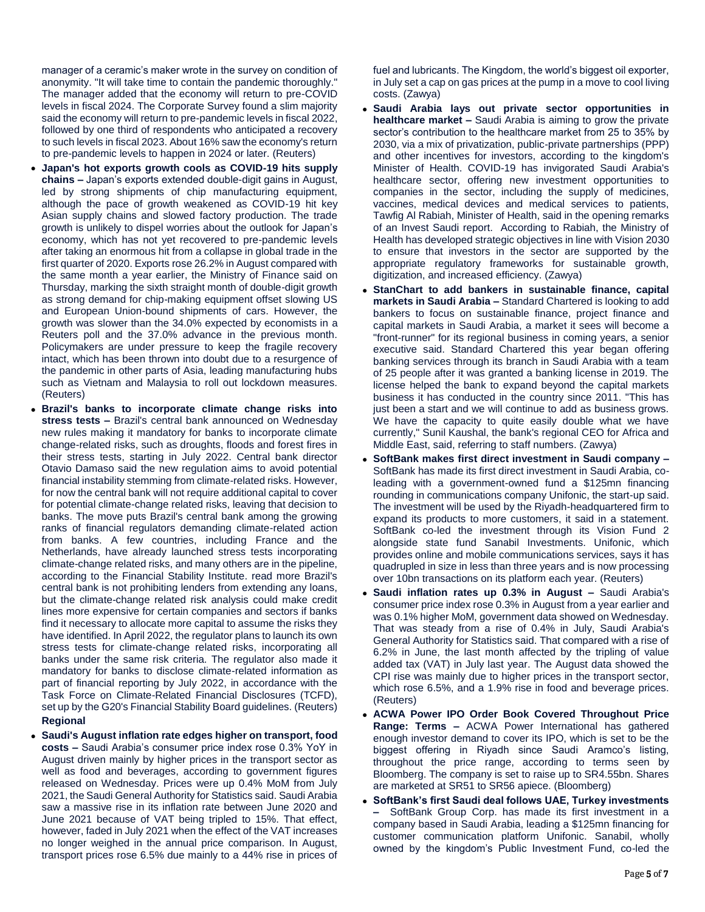manager of a ceramic's maker wrote in the survey on condition of anonymity. "It will take time to contain the pandemic thoroughly." The manager added that the economy will return to pre-COVID levels in fiscal 2024. The Corporate Survey found a slim majority said the economy will return to pre-pandemic levels in fiscal 2022, followed by one third of respondents who anticipated a recovery to such levels in fiscal 2023. About 16% saw the economy's return to pre-pandemic levels to happen in 2024 or later. (Reuters)

- **Japan's hot exports growth cools as COVID-19 hits supply chains –** Japan's exports extended double-digit gains in August, led by strong shipments of chip manufacturing equipment, although the pace of growth weakened as COVID-19 hit key Asian supply chains and slowed factory production. The trade growth is unlikely to dispel worries about the outlook for Japan's economy, which has not yet recovered to pre-pandemic levels after taking an enormous hit from a collapse in global trade in the first quarter of 2020. Exports rose 26.2% in August compared with the same month a year earlier, the Ministry of Finance said on Thursday, marking the sixth straight month of double-digit growth as strong demand for chip-making equipment offset slowing US and European Union-bound shipments of cars. However, the growth was slower than the 34.0% expected by economists in a Reuters poll and the 37.0% advance in the previous month. Policymakers are under pressure to keep the fragile recovery intact, which has been thrown into doubt due to a resurgence of the pandemic in other parts of Asia, leading manufacturing hubs such as Vietnam and Malaysia to roll out lockdown measures. (Reuters)
- **Brazil's banks to incorporate climate change risks into stress tests –** Brazil's central bank announced on Wednesday new rules making it mandatory for banks to incorporate climate change-related risks, such as droughts, floods and forest fires in their stress tests, starting in July 2022. Central bank director Otavio Damaso said the new regulation aims to avoid potential financial instability stemming from climate-related risks. However, for now the central bank will not require additional capital to cover for potential climate-change related risks, leaving that decision to banks. The move puts Brazil's central bank among the growing ranks of financial regulators demanding climate-related action from banks. A few countries, including France and the Netherlands, have already launched stress tests incorporating climate-change related risks, and many others are in the pipeline, according to the Financial Stability Institute. read more Brazil's central bank is not prohibiting lenders from extending any loans, but the climate-change related risk analysis could make credit lines more expensive for certain companies and sectors if banks find it necessary to allocate more capital to assume the risks they have identified. In April 2022, the regulator plans to launch its own stress tests for climate-change related risks, incorporating all banks under the same risk criteria. The regulator also made it mandatory for banks to disclose climate-related information as part of financial reporting by July 2022, in accordance with the Task Force on Climate-Related Financial Disclosures (TCFD), set up by the G20's Financial Stability Board guidelines. (Reuters) **Regional**
- **Saudi's August inflation rate edges higher on transport, food costs –** Saudi Arabia's consumer price index rose 0.3% YoY in August driven mainly by higher prices in the transport sector as well as food and beverages, according to government figures released on Wednesday. Prices were up 0.4% MoM from July 2021, the Saudi General Authority for Statistics said. Saudi Arabia saw a massive rise in its inflation rate between June 2020 and June 2021 because of VAT being tripled to 15%. That effect, however, faded in July 2021 when the effect of the VAT increases no longer weighed in the annual price comparison. In August, transport prices rose 6.5% due mainly to a 44% rise in prices of

fuel and lubricants. The Kingdom, the world's biggest oil exporter, in July set a cap on gas prices at the pump in a move to cool living costs. (Zawya)

- **Saudi Arabia lays out private sector opportunities in healthcare market –** Saudi Arabia is aiming to grow the private sector's contribution to the healthcare market from 25 to 35% by 2030, via a mix of privatization, public-private partnerships (PPP) and other incentives for investors, according to the kingdom's Minister of Health. COVID-19 has invigorated Saudi Arabia's healthcare sector, offering new investment opportunities to companies in the sector, including the supply of medicines, vaccines, medical devices and medical services to patients, Tawfig Al Rabiah, Minister of Health, said in the opening remarks of an Invest Saudi report. According to Rabiah, the Ministry of Health has developed strategic objectives in line with Vision 2030 to ensure that investors in the sector are supported by the appropriate regulatory frameworks for sustainable growth, digitization, and increased efficiency. (Zawya)
- **StanChart to add bankers in sustainable finance, capital markets in Saudi Arabia –** Standard Chartered is looking to add bankers to focus on sustainable finance, project finance and capital markets in Saudi Arabia, a market it sees will become a "front-runner" for its regional business in coming years, a senior executive said. Standard Chartered this year began offering banking services through its branch in Saudi Arabia with a team of 25 people after it was granted a banking license in 2019. The license helped the bank to expand beyond the capital markets business it has conducted in the country since 2011. "This has just been a start and we will continue to add as business grows. We have the capacity to quite easily double what we have currently," Sunil Kaushal, the bank's regional CEO for Africa and Middle East, said, referring to staff numbers. (Zawya)
- **SoftBank makes first direct investment in Saudi company –** SoftBank has made its first direct investment in Saudi Arabia, coleading with a government-owned fund a \$125mn financing rounding in communications company Unifonic, the start-up said. The investment will be used by the Riyadh-headquartered firm to expand its products to more customers, it said in a statement. SoftBank co-led the investment through its Vision Fund 2 alongside state fund Sanabil Investments. Unifonic, which provides online and mobile communications services, says it has quadrupled in size in less than three years and is now processing over 10bn transactions on its platform each year. (Reuters)
- **Saudi inflation rates up 0.3% in August –** Saudi Arabia's consumer price index rose 0.3% in August from a year earlier and was 0.1% higher MoM, government data showed on Wednesday. That was steady from a rise of 0.4% in July, Saudi Arabia's General Authority for Statistics said. That compared with a rise of 6.2% in June, the last month affected by the tripling of value added tax (VAT) in July last year. The August data showed the CPI rise was mainly due to higher prices in the transport sector, which rose 6.5%, and a 1.9% rise in food and beverage prices. (Reuters)
- **ACWA Power IPO Order Book Covered Throughout Price Range: Terms –** ACWA Power International has gathered enough investor demand to cover its IPO, which is set to be the biggest offering in Riyadh since Saudi Aramco's listing, throughout the price range, according to terms seen by Bloomberg. The company is set to raise up to SR4.55bn. Shares are marketed at SR51 to SR56 apiece. (Bloomberg)
- **SoftBank's first Saudi deal follows UAE, Turkey investments –** SoftBank Group Corp. has made its first investment in a company based in Saudi Arabia, leading a \$125mn financing for customer communication platform Unifonic. Sanabil, wholly owned by the kingdom's Public Investment Fund, co-led the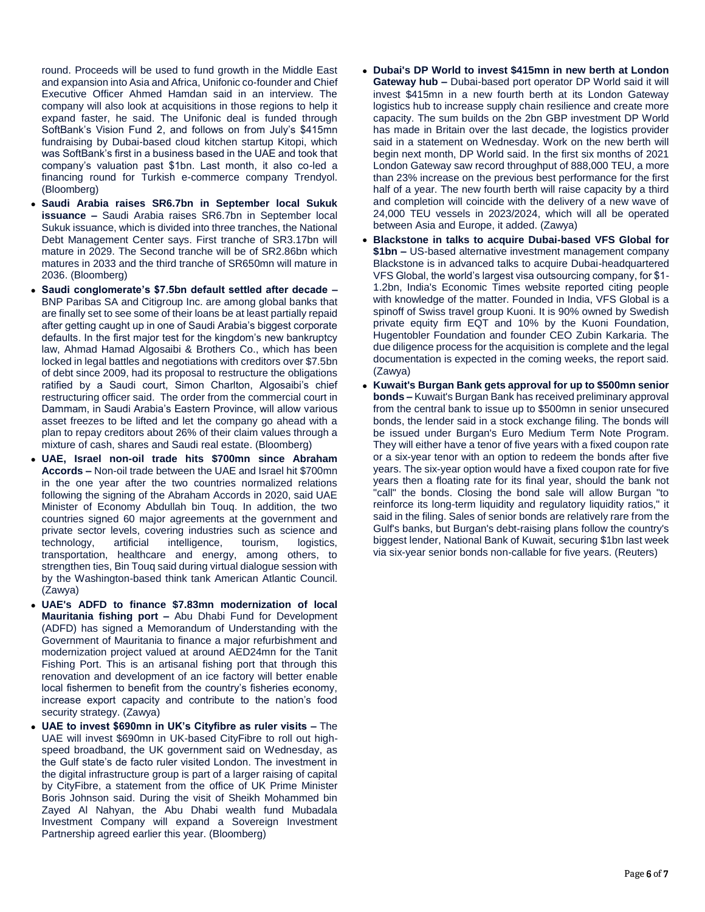round. Proceeds will be used to fund growth in the Middle East and expansion into Asia and Africa, Unifonic co-founder and Chief Executive Officer Ahmed Hamdan said in an interview. The company will also look at acquisitions in those regions to help it expand faster, he said. The Unifonic deal is funded through SoftBank's Vision Fund 2, and follows on from July's \$415mn fundraising by Dubai-based cloud kitchen startup Kitopi, which was SoftBank's first in a business based in the UAE and took that company's valuation past \$1bn. Last month, it also co-led a financing round for Turkish e-commerce company Trendyol. (Bloomberg)

- **Saudi Arabia raises SR6.7bn in September local Sukuk issuance –** Saudi Arabia raises SR6.7bn in September local Sukuk issuance, which is divided into three tranches, the National Debt Management Center says. First tranche of SR3.17bn will mature in 2029. The Second tranche will be of SR2.86bn which matures in 2033 and the third tranche of SR650mn will mature in 2036. (Bloomberg)
- **Saudi conglomerate's \$7.5bn default settled after decade –** BNP Paribas SA and Citigroup Inc. are among global banks that are finally set to see some of their loans be at least partially repaid after getting caught up in one of Saudi Arabia's biggest corporate defaults. In the first major test for the kingdom's new bankruptcy law, Ahmad Hamad Algosaibi & Brothers Co., which has been locked in legal battles and negotiations with creditors over \$7.5bn of debt since 2009, had its proposal to restructure the obligations ratified by a Saudi court, Simon Charlton, Algosaibi's chief restructuring officer said. The order from the commercial court in Dammam, in Saudi Arabia's Eastern Province, will allow various asset freezes to be lifted and let the company go ahead with a plan to repay creditors about 26% of their claim values through a mixture of cash, shares and Saudi real estate. (Bloomberg)
- **UAE, Israel non-oil trade hits \$700mn since Abraham Accords –** Non-oil trade between the UAE and Israel hit \$700mn in the one year after the two countries normalized relations following the signing of the Abraham Accords in 2020, said UAE Minister of Economy Abdullah bin Touq. In addition, the two countries signed 60 major agreements at the government and private sector levels, covering industries such as science and technology, artificial intelligence, tourism, logistics, transportation, healthcare and energy, among others, to strengthen ties, Bin Touq said during virtual dialogue session with by the Washington-based think tank American Atlantic Council. (Zawya)
- **UAE's ADFD to finance \$7.83mn modernization of local Mauritania fishing port –** Abu Dhabi Fund for Development (ADFD) has signed a Memorandum of Understanding with the Government of Mauritania to finance a major refurbishment and modernization project valued at around AED24mn for the Tanit Fishing Port. This is an artisanal fishing port that through this renovation and development of an ice factory will better enable local fishermen to benefit from the country's fisheries economy, increase export capacity and contribute to the nation's food security strategy. (Zawya)
- **UAE to invest \$690mn in UK's Cityfibre as ruler visits –** The UAE will invest \$690mn in UK-based CityFibre to roll out highspeed broadband, the UK government said on Wednesday, as the Gulf state's de facto ruler visited London. The investment in the digital infrastructure group is part of a larger raising of capital by CityFibre, a statement from the office of UK Prime Minister Boris Johnson said. During the visit of Sheikh Mohammed bin Zayed Al Nahyan, the Abu Dhabi wealth fund Mubadala Investment Company will expand a Sovereign Investment Partnership agreed earlier this year. (Bloomberg)
- **Dubai's DP World to invest \$415mn in new berth at London Gateway hub –** Dubai-based port operator DP World said it will invest \$415mn in a new fourth berth at its London Gateway logistics hub to increase supply chain resilience and create more capacity. The sum builds on the 2bn GBP investment DP World has made in Britain over the last decade, the logistics provider said in a statement on Wednesday. Work on the new berth will begin next month, DP World said. In the first six months of 2021 London Gateway saw record throughput of 888,000 TEU, a more than 23% increase on the previous best performance for the first half of a year. The new fourth berth will raise capacity by a third and completion will coincide with the delivery of a new wave of 24,000 TEU vessels in 2023/2024, which will all be operated between Asia and Europe, it added. (Zawya)
- **Blackstone in talks to acquire Dubai-based VFS Global for \$1bn –** US-based alternative investment management company Blackstone is in advanced talks to acquire Dubai-headquartered VFS Global, the world's largest visa outsourcing company, for \$1- 1.2bn, India's Economic Times website reported citing people with knowledge of the matter. Founded in India, VFS Global is a spinoff of Swiss travel group Kuoni. It is 90% owned by Swedish private equity firm EQT and 10% by the Kuoni Foundation, Hugentobler Foundation and founder CEO Zubin Karkaria. The due diligence process for the acquisition is complete and the legal documentation is expected in the coming weeks, the report said. (Zawya)
- **Kuwait's Burgan Bank gets approval for up to \$500mn senior bonds –** Kuwait's Burgan Bank has received preliminary approval from the central bank to issue up to \$500mn in senior unsecured bonds, the lender said in a stock exchange filing. The bonds will be issued under Burgan's Euro Medium Term Note Program. They will either have a tenor of five years with a fixed coupon rate or a six-year tenor with an option to redeem the bonds after five years. The six-year option would have a fixed coupon rate for five years then a floating rate for its final year, should the bank not "call" the bonds. Closing the bond sale will allow Burgan "to reinforce its long-term liquidity and regulatory liquidity ratios," it said in the filing. Sales of senior bonds are relatively rare from the Gulf's banks, but Burgan's debt-raising plans follow the country's biggest lender, National Bank of Kuwait, securing \$1bn last week via six-year senior bonds non-callable for five years. (Reuters)